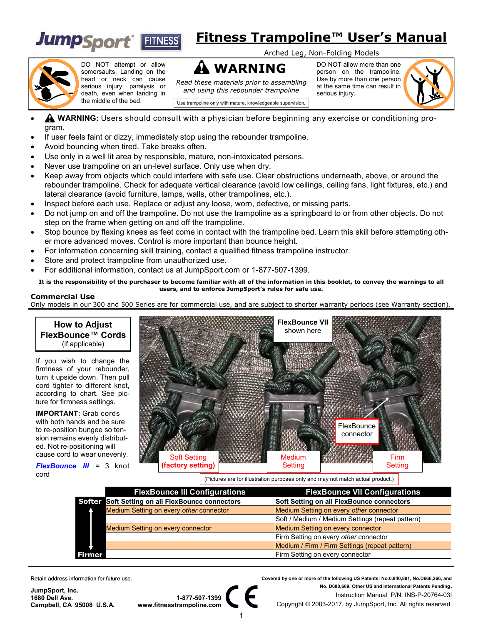

## **Fitness Trampoline™ User's Manual**

Arched Leg, Non-Folding Models



DO NOT attempt or allow somersaults. Landing on the head or neck can cause serious injury, paralysis or death, even when landing in the middle of the bed.

**WARNING** *Read these materials prior to assembling and using this rebounder trampoline*

DO NOT allow more than one person on the trampoline. Use by more than one person at the same time can result in serious injury.



Use trampoline only with mature, knowledgeable supervision.

- **WARNING:** Users should consult with a physician before beginning any exercise or conditioning program.
- If user feels faint or dizzy, immediately stop using the rebounder trampoline.
- Avoid bouncing when tired. Take breaks often.
- Use only in a well lit area by responsible, mature, non-intoxicated persons.
- Never use trampoline on an un-level surface. Only use when dry.
- Keep away from objects which could interfere with safe use. Clear obstructions underneath, above, or around the rebounder trampoline. Check for adequate vertical clearance (avoid low ceilings, ceiling fans, light fixtures, etc.) and lateral clearance (avoid furniture, lamps, walls, other trampolines, etc.).
- Inspect before each use. Replace or adjust any loose, worn, defective, or missing parts.
- Do not jump on and off the trampoline. Do not use the trampoline as a springboard to or from other objects. Do not step on the frame when getting on and off the trampoline.
- Stop bounce by flexing knees as feet come in contact with the trampoline bed. Learn this skill before attempting other more advanced moves. Control is more important than bounce height.
- For information concerning skill training, contact a qualified fitness trampoline instructor.
- Store and protect trampoline from unauthorized use.
- For additional information, contact us at JumpSport.com or 1-877-507-1399.

**It is the responsibility of the purchaser to become familiar with all of the information in this booklet, to convey the warnings to all users, and to enforce JumpSport's rules for safe use.**

### **Commercial Use**

Only models in our 300 and 500 Series are for commercial use, and are subject to shorter warranty periods (see Warranty section).



If you wish to change the firmness of your rebounder, turn it upside down. Then pull cord tighter to different knot, according to chart. See picture for firmness settings.

**IMPORTANT:** Grab cords with both hands and be sure to re-position bungee so tension remains evenly distributed. Not re-positioning will cause cord to wear unevenly.

*FlexBounce III* = 3 knot cord



(Pictures are for illustration purposes only and may not match actual product.)

| <b>FlexBounce III Configurations</b>             | <b>FlexBounce VII Configurations</b>             |
|--------------------------------------------------|--------------------------------------------------|
| Softer Soft Setting on all FlexBounce connectors | Soft Setting on all FlexBounce connectors        |
| Medium Setting on every other connector          | Medium Setting on every other connector          |
|                                                  | Soft / Medium / Medium Settings (repeat pattern) |
| Medium Setting on every connector                | Medium Setting on every connector                |
|                                                  | Firm Setting on every other connector            |
|                                                  | Medium / Firm / Firm Settings (repeat pattern)   |
| <b>Firmer</b>                                    | Firm Setting on every connector                  |

Retain address information for future use.

**JumpSport, Inc. 1680 Dell Ave. Campbell, CA 95008 U.S.A.**



 **Covered by one or more of the following US Patents: No.6.840,891, No.D666,266, and No. D680,609. Other US and International Patents Pending.** Instruction Manual P/N: INS-P-20764-03I Copyright © 2003-2017, by JumpSport, Inc. All rights reserved.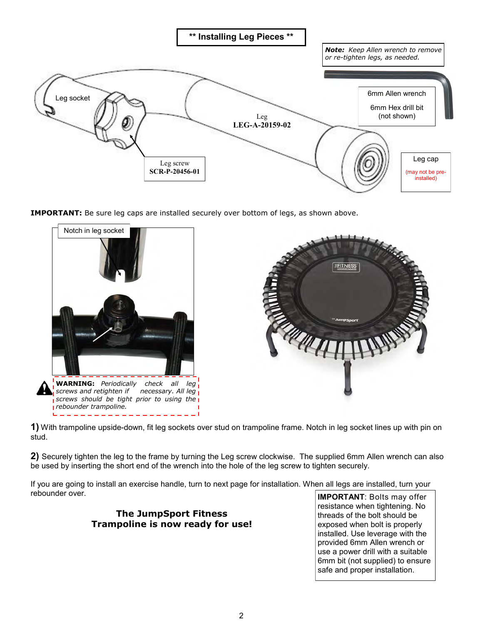

**IMPORTANT:** Be sure leg caps are installed securely over bottom of legs, as shown above.



**1)** With trampoline upside-down, fit leg sockets over stud on trampoline frame. Notch in leg socket lines up with pin on stud.

**2)** Securely tighten the leg to the frame by turning the Leg screw clockwise. The supplied 6mm Allen wrench can also be used by inserting the short end of the wrench into the hole of the leg screw to tighten securely.

If you are going to install an exercise handle, turn to next page for installation. When all legs are installed, turn your rebounder over.

> **The JumpSport Fitness Trampoline is now ready for use!**

**IMPORTANT**: Bolts may offer resistance when tightening. No threads of the bolt should be exposed when bolt is properly installed. Use leverage with the provided 6mm Allen wrench or use a power drill with a suitable 6mm bit (not supplied) to ensure safe and proper installation.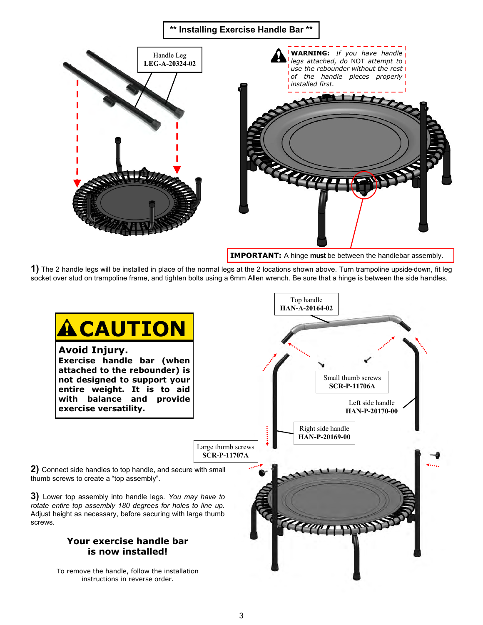

**IMPORTANT:** A hinge **must** be between the handlebar assembly.

**1)** The 2 handle legs will be installed in place of the normal legs at the 2 locations shown above. Turn trampoline upside-down, fit leg socket over stud on trampoline frame, and tighten bolts using a 6mm Allen wrench. Be sure that a hinge is between the side handles.